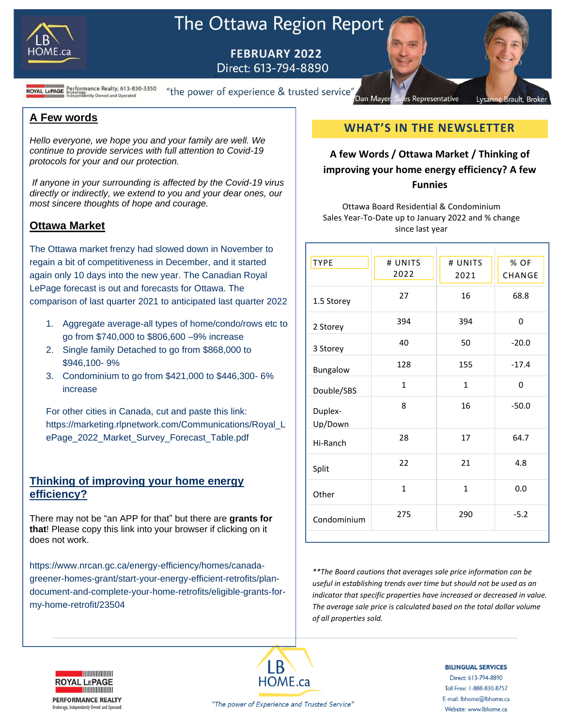

# The Ottawa Region Report

 **FEBRUARY 2022**

D

**ROYAL LEPAGE** Brokerage.<br>ROYAL LEPAGE Brokerage.<br>Independently Owned and Operated

"the power of experience & trusted service" Dan Mayer

**A Few words** 

*Hello everyone, we hope you and your family are well. We continue to provide services with full attention to Covid-19 protocols for your and our protection.*

*If anyone in your surrounding is affected by the Covid-19 virus directly or indirectly, we extend to you and your dear ones, our most sincere thoughts of hope and courage.*

## **Ottawa Market**

The Ottawa market frenzy had slowed down in November to regain a bit of competitiveness in December, and it started again only 10 days into the new year. The Canadian Royal LePage forecast is out and forecasts for Ottawa. The comparison of last quarter 2021 to anticipated last quarter 2022

- 1. Aggregate average-all types of home/condo/rows etc to go from \$740,000 to \$806,600 –9% increase
- 2. Single family Detached to go from \$868,000 to \$946,100- 9%
- 3. Condominium to go from \$421,000 to \$446,300- 6% increase

For other cities in Canada, cut and paste this link: https://marketing.rlpnetwork.com/Communications/Royal\_L ePage\_2022\_Market\_Survey\_Forecast\_Table.pdf

## **Thinking of improving your home energy efficiency?**

There may not be "an APP for that" but there are **grants for that**! Please copy this link into your browser if clicking on it does not work.

https://www.nrcan.gc.ca/energy-efficiency/homes/canadagreener-homes-grant/start-your-energy-efficient-retrofits/plandocument-and-complete-your-home-retrofits/eligible-grants-formy-home-retrofit/23504

## **WHAT'S IN THE NEWSLETTER**

Representative

Lysanne Brault, Broke

## **A few Words / Ottawa Market / Thinking of improving your home energy efficiency? A few Funnies**

Ottawa Board Residential & Condominium Sales Year-To-Date up to January 2022 and % change since last year

| <b>TYPE</b>        | # UNITS      | # UNITS      | % OF    |
|--------------------|--------------|--------------|---------|
|                    | 2022         | 2021         | CHANGE  |
| 1.5 Storey         | 27           | 16           | 68.8    |
| 2 Storey           | 394          | 394          | 0       |
| 3 Storey           | 40           | 50           | $-20.0$ |
| Bungalow           | 128          | 155          | $-17.4$ |
| Double/SBS         | $\mathbf{1}$ | $\mathbf{1}$ | 0       |
| Duplex-<br>Up/Down | 8            | 16           | $-50.0$ |
| Hi-Ranch           | 28           | 17           | 64.7    |
| Split              | 22           | 21           | 4.8     |
| Other              | $\mathbf{1}$ | $\mathbf{1}$ | 0.0     |
| Condominium        | 275          | 290          | $-5.2$  |

*\*\*The Board cautions that averages sale price information can be useful in establishing trends over time but should not be used as an indicator that specific properties have increased or decreased in value. The average sale price is calculated based on the total dollar volume of all properties sold.*



**PERFORMANCE REALTY** Brokerage, Independently Owned and Operated



**BILINGUAL SERVICES** Direct: 613-794-8890 Toll Free: 1-888-830-8757 E-mail: lbhome@lbhome.ca

Website: www.lbhome.ca

"The power of Experience and Trusted Service"